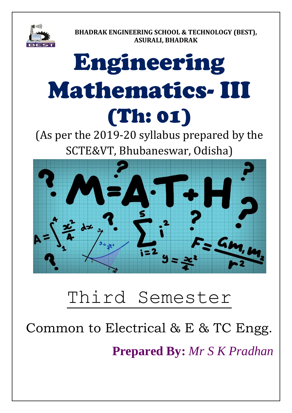

**BHADRAK ENGINEERING SCHOOL & TECHNOLOGY (BEST), ASURALI, BHADRAK**

# Engineering Mathematics- III (Th: 01)

(As per the 2019-20 syllabus prepared by the SCTE&VT, Bhubaneswar, Odisha)



# Third Semester

Common to Electrical & E & TC Engg. **Prepared By:** *Mr S K Pradhan*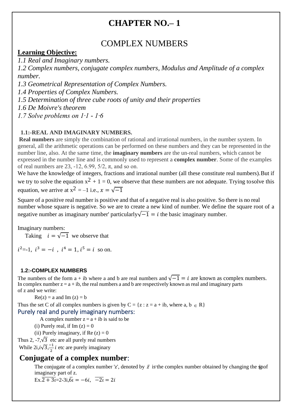## **CHAPTER NO.– 1**

### COMPLEX NUMBERS

#### **Learning Objective:**

*1.1 Real and Imaginary numbers.* 

*1.2 Complex numbers, conjugate complex numbers, Modulus and Amplitude of a complex number.* 

*1.3 Geometrical Representation of Complex Numbers.* 

*1.4 Properties of Complex Numbers.* 

*1.5 Determination of three cube roots of unity and their properties*

*1.6 De Moivre's theorem* 

*1.7 Solve problems on 1∙1 - 1∙6*

#### **1.1:-REAL AND IMAGINARY NUMBERS.**

**Real numbers** are simply the combination of rational and irrational numbers, in the number system. In general, all the arithmetic operations can be performed on these numbers and they can be represented in the number line, also. At the same time, the **imaginary numbers** are the un-real numbers, which cannot be expressed in the number line and is commonly used to represent a **complex number**. Some of the examples of real numbers are 23,  $-12$ , 6.99,  $5/2$ ,  $\pi$ , and so on.

We have the knowledge of integers, fractions and irrational number (all these constitute real numbers). But if we try to solve the equation  $x^2 + 1 = 0$ , we observe that these numbers are not adequate. Trying tosolve this equation, we arrive at  $x^2 = -1$  i.e.,  $x = \sqrt{-1}$ 

Square of a positive real number is positive and that of a negative real is also positive. So there is no real number whose square is negative. So we are to create a new kind of number. We define the square root of a negative number as imaginary number' particularly $\sqrt{-1} = i$  the basic imaginary number.

Imaginary numbers:

Taking  $i = \sqrt{-1}$  we observe that

 $i^2=-1$ ,  $i^3=-i$ ,  $i^4=1$ ,  $i^5=i$  so on.

#### **1.2:-COMPLEX NUMBERS**

The numbers of the form a + ib where a and b are real numbers and  $\sqrt{-1} = i$  are known as complex numbers. In complex number  $z = a + ib$ , the real numbers a and b are respectively known as real and imaginary parts of z and we write:

 $Re(z) = a$  and  $Im(z) = b$ 

Thus the set C of all complex numbers is given by  $C = \{z : z = a + ib, \text{ where } a, b \in R\}$ Purely real and purely imaginary numbers:

A complex number  $z = a + ib$  is said to be

(i) Purely real, if Im  $(z) = 0$ 

(ii) Purely imaginary, if Re  $(z) = 0$ 

Thus 2, -7, $\sqrt{3}$  etc are all purely real numbers

While  $2i, i\sqrt{3}, \frac{-1}{2}$  $\frac{1}{2}i$  etc are purely imaginary

#### **Conjugate of a complex number**:

The conjugate of a complex number 'z', denoted by  $\bar{z}$  is the complex number obtained by changing the signof imaginary part of z.

 $Ex.\overline{2+3i} = 2-3i, \overline{6}i = -6i, \overline{-2i} = 2i$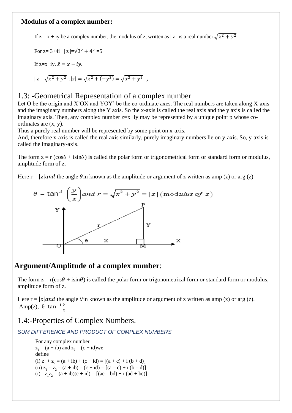#### **Modulus of a complex number:**

If  $z = x + iy$  be a complex number, the modulus of z, written as | z | is a real number  $\sqrt{x^2 + y^2}$ 

For z= 3+4i | z |=
$$
\sqrt{3^2 + 4^2} = 5
$$
  
If z=x+iy,  $\bar{z} = x - iy$ .  
 $|z| = \sqrt{x^2 + y^2}$ ,  $|\bar{z}| = \sqrt{x^2 + (-y^2)} = \sqrt{x^2 + y^2}$ ,

#### 1.3: -Geometrical Representation of a complex number

Let O be the origin and X'OX and YOY' be the co-ordinate axes. The real numbers are taken along X-axis and the imaginary numbers along the Y axis. So the x-axis is called the real axis and the y axis is called the imaginary axis. Then, any complex number  $z=x+iy$  may be represented by a unique point p whose coordinates are (x, y).

Thus a purely real number will be represented by some point on x-axis.

And, therefore x-axis is called the real axis similarly, purely imaginary numbers lie on y-axis. So, y-axis is called the imaginary-axis.

The form  $z = r (\cos \theta + i \sin \theta)$  is called the polar form or trigonometrical form or standard form or modulus, amplitude form of z.

Here  $r = |z|$  and the angle  $\theta$  in known as the amplitude or argument of z written as amp (z) or arg (z)



#### **Argument/Amplitude of a complex number**:

The form  $z = r(\cos\theta + i\sin\theta)$  is called the polar form or trigonometrical form or standard form or modulus, amplitude form of z.

Here  $r = |z|$  and the angle  $\theta$  in known as the amplitude or argument of z written as amp (z) or arg (z). Amp(z),  $\theta$ =tan<sup>-1</sup> $\frac{y}{x}$ 

1.4:-Properties of Complex Numbers.

*SUM DIFFERENCE AND PRODUCT OF COMPLEX NUMBERS*

For any complex number  $z_1 = (a + ib)$  and  $z_2 = (c + id)$ we define (i)  $z_1 + z_2 = (a + ib) + (c + id) = [(a + c) + i (b + d)]$ (ii)  $z_1 - z_2 = (a + ib) - (c + id) = [(a - c) + i (b - d)]$ (i)  $z_1 z_2 = (a + ib)(c + id) = [(ac - bd) + i (ad + bc)]$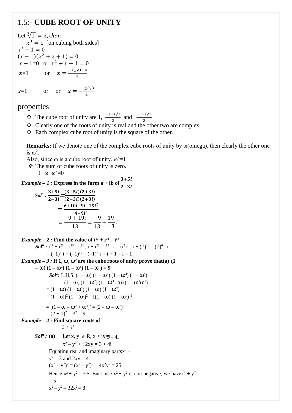#### 1.5:- **CUBE ROOT OF UNITY**

Let  $\sqrt[3]{1} = x$ , then  $x^3 = 1$  [on cubing both sides]  $x^3 - 1 = 0$  $(x-1)(x^2+x+1)=0$  $x - 1 = 0$  or  $x^2 + x + 1 = 0$  $x=1$  or  $x=\frac{-1\pm\sqrt{1-4}}{2}$ 2  $x=1$  or or  $x=\frac{-1\pm i\sqrt{3}}{2}$ 2

#### properties

**↓** The cube root of unity are 1,  $\frac{-1+i\sqrt{3}}{2}$  and  $\frac{-1-i\sqrt{3}}{2}$ 

❖ Clearly one of the roots of unity is real and the other two are complex.

❖ Each complex cube root of unity is the square of the other.

**Remarks:** If we denote one of the complex cube roots of unity by ω(omega), then clearly the other one is  $ω^2$ .

Also, since  $\omega$  is a cube root of unity,  $\omega^3 = 1$ 

❖ The sum of cube roots of unity is zero.

 $1+\omega+\omega^2=0$ 

*Example* – *1* : Express in the form  $a + ib$  of  $\frac{3+5i}{2-2i}$  $2-3i$ 

$$
Soln : \frac{3+5i}{2-3i} = \frac{(3+5i)(2+3i)}{(2-3i)(2+3i)}
$$
  
= 
$$
\frac{6+10i+9i+15i^2}{4-9i^2}
$$
  
= 
$$
\frac{-9+19i}{13} = \frac{-9}{13} + \frac{19}{13}i
$$

*Example* – 2 : Find the value of  $i^{17} + i^{20} - i^{13}$  $\textit{Sol}^n : i^{17} + i^{20} - i^{13} = i^{16}$ .  $i + i^{20} - i^{12}$ .  $i = (i^2)^8$ .  $i + (i^2)^{10} - (i^2)^6$ . i  $= (-1)^8$  i +  $(-1)^{10}$  –  $(-1)^6$  i = i + 1 – i = 1 *Example*  $-3$ : If 1,  $\omega$ ,  $\omega^2$  are the cube roots of unity prove that(a) (1)  $(-\omega)$   $(1-\omega^2)$   $(1-\omega^4)$   $(1-\omega^5) = 9$ *Sol*<sup>n</sup>: L.H.S.  $(1 - \omega) (1 - \omega^2) (1 - \omega^4) (1 - \omega^5)$  $=(1-\omega)(1-\omega^2)(1-\omega^3\cdot\omega)(1-\omega^3\omega^2)$  $= (1 - \omega) (1 - \omega^2) (1 - \omega) (1 - \omega^2)$  $= (1 - \omega)^2 (1 - \omega^2)^2 = [(1 - \omega) (1 - \omega^2)]^2$  $= [(1 - \omega - \omega^2 + \omega^3]^2 = (2 - \omega - \omega^2)^2]$  $=(2 + 1)^2 = 3^2 = 9$ *Example – 4 :* **Find square roots of**  *3 + 4i Sol<sup>n</sup>* : (a) *:* (a) Let x,  $y \in R$ ,  $x + iy/\sqrt{3} + 4i$  $x^2 - y^2 + i 2xy = 3 + 4i$ Equating real and imaginary parts $x^2$  –  $y^2 = 3$  and  $2xy = 4$  $(x^{2} + y^{2})^{2} = (x^{2} - y^{2})^{2} + 4x^{2}y^{2} = 25$ Hence  $x^2 + y^2 = \pm 5$ , But since  $x^2 + y^2$  is non-negative, we have  $x^2 + y^2$  $= 5$  $x^2 - y^2 = 32x^2 = 8$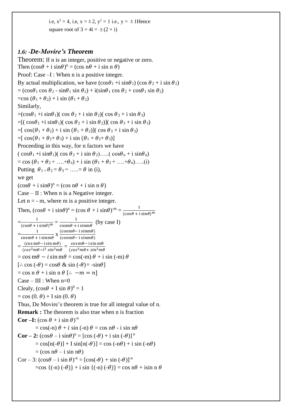i.e,  $x^2 = 4$ , i.e,  $x = \pm 2$ ,  $y^2 = 1$  i.e.,  $y = \pm 1$  Hence square root of  $3 + 4i = \pm (2 + i)$ 

#### *1.6: -De-Movire's Theorem*

Theorem: If n is an integer, positive or negative or zero. Then  $(\cos\theta + i \sin\theta)^n = (\cos n\theta + i \sin n\theta)$ Proof: Case –I : When n is a positive integer. By actual multiplication, we have  $(\cos\theta_1 + i \sin\theta_1)$  (cos  $\theta_2 + i \sin\theta_2$ )  $= (\cos\theta_1 \cos\theta_2 - \sin\theta_1 \sin\theta_2) + i(\sin\theta_1 \cos\theta_2 + \cos\theta_1 \sin\theta_2)$  $=\cos (\theta_1 + \theta_2) + i \sin (\theta_1 + \theta_2)$ Similarly,  $=(\cos\theta_1 + i \sin\theta_1)(\cos\theta_2 + i \sin\theta_2)(\cos\theta_3 + i \sin\theta_3)$  $=$ [( cos $\theta_1$  +i sin $\theta_1$ )( cos  $\theta_2$  + i sin  $\theta_2$ )]( cos  $\theta_3$  + i sin  $\theta_3$ )  $= [\cos(\theta_1 + \theta_2) + i \sin(\theta_1 + \theta_2)](\cos \theta_3 + i \sin \theta_3)$  $= [\cos(\theta_1 + \theta_2 + \theta_3) + i \sin(\theta_1 + \theta_2 + \theta_3)]$ Proceeding in this way, for n factors we have  $(\cos\theta_1 + i \sin\theta_1)(\cos\theta_2 + i \sin\theta_2)...(\cos\theta_n + i \sin\theta_n)$  $=$  cos  $(\theta_1 + \theta_2 + ... + \theta_n) + i \sin (\theta_1 + \theta_2 + ... + \theta_n)$ …..(i) Putting  $\theta_1 = \theta_2 = \theta_3 = \ldots = \theta$  in (i), we get  $(\cos\theta + i \sin\theta)^n = (\cos n\theta + i \sin n\theta)$ Case – II : When n is a Negative integer. Let  $n = -m$ , where m is a positive integer. Then,  $(\cos\theta + i \sin\theta)^n = (\cos\theta + i \sin\theta)^{-m} = \frac{1}{(\cos\theta + i \sin\theta)^n}$  $(\cos\theta + i \sin\theta)^m$  $=\frac{1}{(\cos\theta + i\sin\theta)^m} = \frac{1}{\cos m\theta + i\sin^2\theta}$  $\frac{1}{\cos m\theta + i \sin m\theta}$  (by case I)  $=\frac{1}{\cos \theta}$  $\frac{1}{\cos m\theta + i \sin m\theta}$  X  $\frac{(\cos m\theta - i \sin m\theta)}{(\cos m\theta - i \sin m\theta)}$  $(cos<sup>π</sup>θ - i sin<sup>π</sup>θ)$  $=\frac{(\cos m\theta - i\sin m\theta)}{(\cos^2 m\theta - i^2\sin^2 m\theta)} = \frac{\cos m\theta - i\sin m\theta}{(\cos^2 m\theta + \sin^2 m\theta)}$ (cos m $\theta$  – i sin m $\theta$ ) cosmθ− i sin mθ  $=$  cos m $\theta$  – *i* sin m $\theta$  = cos(-m)  $\theta$  + i sin (-m)  $\theta$ [∴ cos (-θ) = cosθ & sin (-θ)= -sinθ]  $=$  cos n  $\theta$  + i sin n  $\theta$  [∴  $-m = n$ ] Case – III : When  $n=0$ Clealy,  $(\cos \theta + I \sin \theta)^0 = 1$  $=$  cos  $(0, \theta)$  + I sin  $(0, \theta)$ Thus, De Movire's theorem is true for all integral value of n. **Remark :** The theorem is also true when n is fraction **Cor** -**I:**  $(\cos \theta + i \sin \theta)^{-n}$  $=$  cos(-n)  $\theta$  + *i* sin (-n)  $\theta$  = cos n $\theta$  - i sin n $\theta$ **Cor** – **2:**  $(\cos \theta - i \sin \theta)^n = [\cos (-\theta) + i \sin (-\theta)]^n$  $= cos[n(-\theta)] + Isin[n(-\theta)] = cos(-n\theta) + i sin(-n\theta)$  $= (\cos n\theta - i \sin n\theta)$ Cor – 3:  $(\cos\theta - i \sin \theta)^{-n} = [\cos(-\theta) + \sin(-\theta)]^{-n}$  $=\cos \{(-n) (-\theta)\} + i \sin \{(-n) (-\theta)\} = \cos n\theta + i \sin n\theta$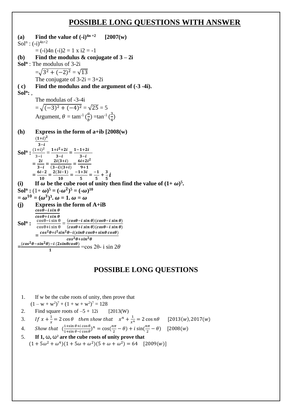#### **POSSIBLE LONG QUESTIONS WITH ANSWER**

(a) Find the value of  $(-i)^{4n+2}$  [2007(w)  $Sol<sup>n</sup> : (-i)<sup>4n+2</sup>$  $= (-i)4n (-i)2 = 1 \times i2 = -1$ **(b) Find the modulus & conjugate of 3 – 2i Sol<sup>n</sup>** : The modulus of 3-2i  $=\sqrt{3^2+(-2)^2}=\sqrt{13}$ The conjugate of  $3-2i = 3+2i$ **( c) Find the modulus and the argument of (-3 -4i). Sol<sup>n</sup> :** , The modulas of -3-4i  $=\sqrt{(-3)^2+(-4)^2}=\sqrt{25}=5$ Argument,  $\theta = \tan^{-1}(\frac{a}{b})$  $\frac{a}{b}$ ) =tan<sup>-1</sup> ( $\frac{3}{4}$ )  $\frac{1}{4}$ **(h) Express in the form of a+ib [2008(w)**  $(1+i)^2$  $3-i$ **Sol<sup>n</sup>**:  $\frac{(1+i)^2}{2i}$  $\frac{(1+i)^2}{3-i} = \frac{1+i^2+2i}{3-i}$  $\frac{i^2+2i}{3-i} = \frac{1-1+2i}{3-i}$  $3-i$  $=\frac{2i}{2}$  $\frac{2i}{3-i} = \frac{2i(3+i)}{(3-i)(3+i)}$  $\frac{2i(3+i)}{(3-i)(3+i)} = \frac{6i+2i^2}{9+1}$  $9+1$  $=\frac{6i-2}{10}$  $\frac{i-2}{10} = \frac{2(3i-1)}{10}$  $\frac{3i-1)}{10} = \frac{-1+3i}{5}$  $\frac{+3i}{5} = \frac{-1}{5}$  $\frac{-1}{5} + \frac{3}{5}$  $\frac{3}{5}i$ (i) If  $\omega$  be the cube root of unity then find the value of  $(1+\omega)^5$ . **Sol<sup>n</sup>:**  $(1+\omega)^5 = (-\omega^2)^5 = (-\omega)^{10}$  $=\boldsymbol{\omega}^{10}=(\boldsymbol{\omega}^3)^3$ **.**  $\boldsymbol{\omega}=1$ **.**  $\boldsymbol{\omega}=\boldsymbol{\omega}$ **(j) Express in the form of A+iB**  $cos\theta - i sin\theta$  $cos\theta + i sin\theta$ **Sol<sup>n</sup> :**  $\frac{\cos\theta - i \sin\theta}{\cos\theta + i \sin\theta} = \frac{(\cos\theta - i \sin\theta)(\cos\theta - i \sin\theta)}{(\cos\theta + i \sin\theta)(\cos\theta + i \sin\theta)}$  $\cos\theta + i \sin\theta$   $(\cos\theta + i \sin\theta)(\cos\theta - i \sin\theta)$  $=\frac{\cos^2\theta + i^2\sin^2\theta - i(\sin\theta\cos\theta + \sin\theta\cos\theta)}{i^2\theta + i^2\theta}$  $cos^2\theta + sin^2\theta$  $=\frac{(cos^2\theta - sin^2\theta) - i (2sin\theta cos\theta)}{1} = cos 2\theta - i sin 2\theta$  $\overline{1}$ 

#### **POSSIBLE LONG QUESTIONS**

- 1. If w be the cube roots of unity, then prove that  $(1 - w + w^2)^7 + (1 + w + w^2)^7 = 128$
- 2. Find square roots of  $-5 + 12i$  [2013(W)
- 3. If  $x + \frac{1}{x}$  $\frac{1}{x}$  = 2 cos  $\theta$  then show that  $x^n + \frac{1}{x^n}$  $\frac{1}{x^n}$  = 2 cos n $\theta$  [2013(w), 2017(w)
- 4. Show that  $\left(\frac{1+\sin\theta+i\cos\theta}{1+\sin\theta-i\cos\theta}\right)$  $\frac{1+\sin\theta+i\cos\theta}{1+\sin\theta-i\cos\theta}$ <sup>n</sup> = cos( $\frac{n\pi}{2}$  $\frac{i\pi}{2}$  –  $\theta$ ) + *i* sin( $\frac{n\pi}{2}$  $\frac{u}{2}$  –  $\theta$ ) [2008(*w*)
- 5. **If 1,** ω**,** ω**<sup>2</sup> are the cube roots of unity prove that**  $(1 + 5\omega^2 + \omega^4)(1 + 5\omega + \omega^2)(5 + \omega + \omega^2) = 64$  [2009(w)]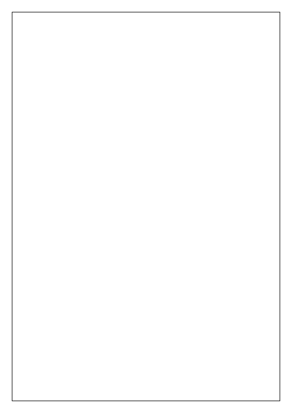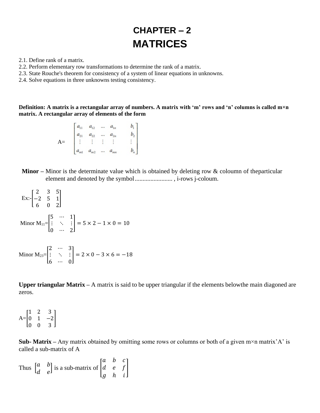# **CHAPTER – 2 MATRICES**

2.1. Define rank of a matrix.

2.2. Perform elementary row transformations to determine the rank of a matrix.

2.3. State Rouche's theorem for consistency of a system of linear equations in unknowns.

2.4. Solve equations in three unknowns testing consistency.

**Definition: A matrix is a rectangular array of numbers. A matrix with 'm' rows and 'n' columns is called m×n matrix. A rectangular array of elements of the form**

| $a_{m1}$ $a_{m2}$ $a_{mn}$ |  | $\begin{bmatrix} a_{11} & a_{12} & \dots & a_{1n} & b_1 \\ a_{21} & a_{22} & \dots & a_{2n} & b_2 \\ \vdots & \vdots & \vdots & \vdots & \vdots \\ a_{m1} & a_{m2} & \dots & a_{mn} & b_n \end{bmatrix}$ |
|----------------------------|--|----------------------------------------------------------------------------------------------------------------------------------------------------------------------------------------------------------|

**Minor** – Minor is the determinate value which is obtained by deleting row & coloumn of the particular element and denoted by the symbol........................ , i-rows j-coloum.

Ex: 
$$
\begin{bmatrix} 2 & 3 & 5 \\ -2 & 5 & 1 \\ 6 & 0 & 2 \end{bmatrix}
$$
  
\nMinor M<sub>11</sub>= $\begin{bmatrix} 5 & \cdots & 1 \\ \vdots & \ddots & \vdots \\ 0 & \cdots & 2 \end{bmatrix}$  = 5 × 2 – 1 × 0 = 10  
\nMinor M<sub>23</sub>= $\begin{bmatrix} 2 & \cdots & 3 \\ \vdots & \ddots & \vdots \\ \end{bmatrix}$  = 2 × 0 – 3 × 6 = -18

6 ⋯ 0

**Upper triangular Matrix –** A matrix is said to be upper triangular if the elements belowthe main diagoned are zeros.

 $A=$ 1 2 3  $0 \t1 \t -2$ 0 0 3 ]

**Sub- Matrix –** Any matrix obtained by omitting some rows or columns or both of a given m×n matrix'A' is called a sub-matrix of A

Thus 
$$
\begin{bmatrix} a & b \\ d & e \end{bmatrix}
$$
 is a sub-matrix of  $\begin{bmatrix} a & b & c \\ d & e & f \\ g & h & i \end{bmatrix}$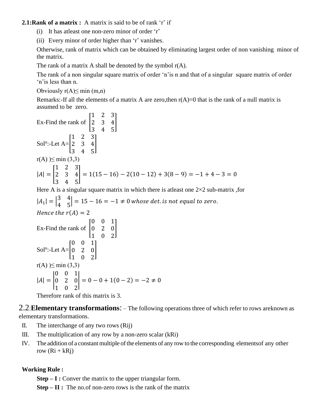#### **2.1:Rank of a matrix :** A matrix is said to be of rank 'r' if

- (i) It has atleast one non-zero minor of order 'r'
- (ii) Every minor of order higher than 'r' vanishes.

Otherwise, rank of matrix which can be obtained by eliminating largest order of non vanishing minor of the matrix.

The rank of a matrix A shall be denoted by the symbol  $r(A)$ .

The rank of a non singular square matrix of order 'n'is n and that of a singular square matrix of order 'n'is less than n.

Obviously  $r(A) \leq min(m,n)$ 

Remarks:-If all the elements of a matrix A are zero, then  $r(A)=0$  that is the rank of a null matrix is assumed to be zero.

Ex-Find the rank of 
$$
\begin{bmatrix} 1 & 2 & 3 \ 2 & 3 & 4 \ 3 & 4 & 5 \end{bmatrix}
$$
  
\nSoI<sup>n</sup>:-Let A=
$$
\begin{bmatrix} 1 & 2 & 3 \ 2 & 3 & 4 \ 3 & 4 & 5 \end{bmatrix}
$$
  
\nr(A) ) $\leq$  min (3,3)  
\n $|A| = \begin{bmatrix} 1 & 2 & 3 \ 2 & 3 & 4 \ 3 & 4 & 5 \end{bmatrix} = 1(15 - 16) - 2(10 - 12) + 3(8 - 9) = -1 + 4 - 3 = 0$ 

Here A is a singular square matrix in which there is at least one  $2\times 2$  sub-matrix, for

$$
|A_1| = \begin{vmatrix} 3 & 4 \\ 4 & 5 \end{vmatrix} = 15 - 16 = -1 \neq 0 \text{ whose det. is not equal to zero.}
$$
  
Hence the r(A) = 2  
Ex-Find the rank of  $\begin{bmatrix} 0 & 0 & 1 \\ 0 & 2 & 0 \\ 1 & 0 & 2 \end{bmatrix}$   
SoI<sup>n</sup>:-Let A= $\begin{bmatrix} 0 & 0 & 1 \\ 0 & 2 & 0 \\ 1 & 0 & 2 \end{bmatrix}$   
r(A) ) $\leq$  min (3,3)  

$$
|A| = \begin{vmatrix} 0 & 0 & 1 \\ 0 & 2 & 0 \\ 1 & 0 & 2 \end{vmatrix} = 0 - 0 + 1(0 - 2) = -2 \neq 0
$$

Therefore rank of this matrix is 3.

2.2:**Elementary transformations**: – The following operations three of which refer to rows areknown as elementary transformations.

- II. The interchange of any two rows (Rij)
- III. The multiplication of any row by a non-zero scalar (kRi)
- IV. The addition of a constant multiple of the elements of any row to the corresponding elements of any other row  $(Ri + kRj)$

#### **Working Rule :**

**Step – I :** Conver the matrix to the upper triangular form.

**Step – II :** The no.of non-zero rows is the rank of the matrix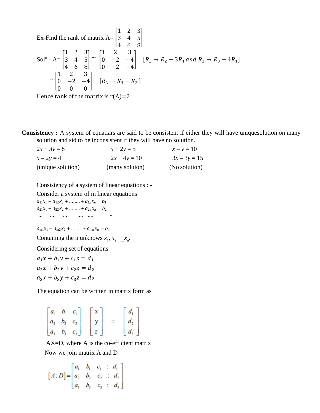Ex-Find the rank of matrix A=
$$
\begin{bmatrix} 1 & 2 & 3 \\ 3 & 4 & 5 \\ 4 & 6 & 8 \end{bmatrix}
$$
  
\nSoI<sup>n</sup>: $A = \begin{bmatrix} 1 & 2 & 3 \\ 3 & 4 & 5 \\ 4 & 6 & 8 \end{bmatrix} \sim \begin{bmatrix} 1 & 2 & 3 \\ 0 & -2 & -4 \\ 0 & -2 & -4 \end{bmatrix}$   $[R_2 \rightarrow R_2 - 3R_1$  and  $R_3 \rightarrow R_3 - 4R_1$ ]  
\n $\sim \begin{bmatrix} 1 & 2 & 3 \\ 0 & -2 & -4 \\ 0 & 0 & 0 \end{bmatrix}$   $[R_3 \rightarrow R_3 - R_2]$ 

Hence rank of the matrix is  $r(A)=2$ 

**Consistency** : A system of equatiars are said to be consistent if either they will have uniquesolution on many solution and sid to be inconsistent if they will have no solution.

| $2x + 3y = 8$     | $x + 2y = 5$   | $x - y = 10$  |
|-------------------|----------------|---------------|
| $x - 2y = 4$      | $2x + 4y = 10$ | $3x-3y=15$    |
| (unique solution) | (many soluion) | (No solution) |

Consistency of a system of linear equations : -

Consider a system of m linear equations  $a_{11}x_1 + a_{12}x_2 + \ldots + a_{1x}x_n = b_1$  $a_{21}x_1 + a_{22}x_2 + \ldots + a_{2n}x_n = b_2$ *… …. …. …. ….. - … …. …. …. …..*  $a_{m1}x_1 + a_{m2}x_2 + \ldots + a_{mn}x_n = b_m$ Containing the n unknows  $x_1, x_2, \ldots, x_n$ . Considering set of equations  $a_1 x + b_1 y + c_1 z = d_1$  $a_2 x + b_2 y + c_2 z = d_2$ 

 $a_3x + b_3y + c_3z = d_3$ 

The equation can be written in matrix form as

|  | $\begin{bmatrix} a_1 & b_1 & c_1 \end{bmatrix}$ | $\mathbf{x}$    |     |                                                                 |
|--|-------------------------------------------------|-----------------|-----|-----------------------------------------------------------------|
|  | $\begin{vmatrix} a_2 & b_2 & c_2 \end{vmatrix}$ | y               | $=$ |                                                                 |
|  | $\begin{bmatrix} a_3 & b_3 & c_3 \end{bmatrix}$ | $\vert z \vert$ |     | $\left[ \begin{array}{c} d_1 \\ d_2 \\ d_3 \end{array} \right]$ |

 AX=D, where A is the co-efficient matrix Now we join matrix A and D

 $\overline{a}$ 

$$
[A:D] = \begin{bmatrix} a_1 & b_1 & c_1 & \vdots & d_1 \\ a_2 & b_2 & c_2 & \vdots & d_2 \\ a_3 & b_3 & c_3 & \vdots & d_3 \end{bmatrix}
$$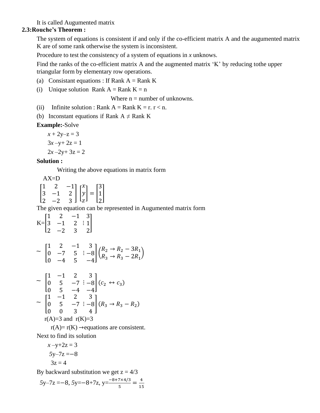It is called Augumented matrix

#### **2.3:Rouche's Theorem :**

The system of equations is consistent if and only if the co-efficient matrix A and the augumented matrix K are of some rank otherwise the system is inconsistent.

Procedure to test the consistency of a system of equations in *x* unknows.

Find the ranks of the co-efficient matrix A and the augmented matrix 'K' by reducing tothe upper triangular form by elementary row operations.

- (a) Consistant equations : If Rank  $A = Rank K$
- (i) Unique solution Rank  $A = Rank K = n$

Where  $n =$  number of unknowns.

(ii) Infinite solution : Rank  $A = Rank K = r$ .  $r < n$ .

(b) Inconstant equations if Rank  $A \neq Rank K$ 

**Example:**-Solve

 $x + 2y - z = 3$ 

 $3x - y + 2z = 1$ 

 $2x - 2y + 3z = 2$ 

#### **Solution :**

Writing the above equations in matrix form

 AX=D  $\overline{\phantom{a}}$ 1 2 −1 3 −1 2 2 −2 3  $\prod$  $\mathcal{X}$  $\mathcal{Y}$ Z  $=$   $\vert$ 3 1 2 ]

The given equation can be represented in Augumented matrix form

$$
K = \begin{bmatrix} 1 & 2 & -1 & 3 \\ 3 & -1 & 2 & 1 \\ 2 & -2 & 3 & 2 \end{bmatrix}
$$
  
\n
$$
\sim \begin{bmatrix} 1 & 2 & -1 & 3 \\ 0 & -7 & 5 & 3 \\ 0 & -4 & 5 & -4 \end{bmatrix} \begin{bmatrix} R_2 \rightarrow R_2 - 3R_1 \\ R_3 \rightarrow R_3 - 2R_1 \end{bmatrix}
$$
  
\n
$$
\sim \begin{bmatrix} 1 & -1 & 2 & 3 \\ 0 & 5 & -7 & 3 \\ 0 & 5 & -4 & -4 \end{bmatrix} (c_2 \leftrightarrow c_3)
$$
  
\n
$$
\sim \begin{bmatrix} 1 & -1 & 2 & 3 \\ 0 & 5 & -7 & 3 \\ 0 & 0 & 3 & 4 \end{bmatrix} (R_3 \rightarrow R_3 - R_2)
$$
  
\n
$$
r(A)=3 \text{ and } r(K)=3
$$

 $r(A)= r(K) \rightarrow$ equations are consistent. Next to find its solution

$$
x-y+2z = 3
$$

$$
5y-7z = -8
$$

$$
3z = 4
$$

By backward substitution we get  $z = 4/3$ 

$$
5y-7z = -8
$$
,  $5y=-8+7z$ ,  $y = \frac{-8+7\times4/3}{5} = \frac{4}{15}$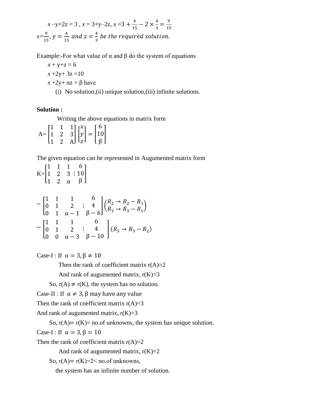$$
x-y+2z = 3
$$
,  $x = 3+y-2z$ ,  $x = 3 + \frac{4}{15} - 2 \times \frac{4}{3} = \frac{9}{15}$   
 $x = \frac{9}{15}$ ,  $y = \frac{4}{15}$  and  $z = \frac{4}{3}$  be the required solution.

Example:-For what value of  $\alpha$  and  $\beta$  do the system of equations

 $x + y + z = 6$  $x + 2y + 3z = 10$  $x + 2y + \alpha z = \beta$  have

(i) No solution,(ii) unique solution,(iii) infinite solutions.

#### **Solution :**

Writing the above equations in matrix form

 $A=$ 1 1 1 1 2 3 1 2 Α  $\prod$  $\mathcal{X}$  $\mathcal{Y}$ Z  $\vert = \vert$ 6 10 β ]

The given equation can be represented in Augumented matrix form

 $K=\vert$ 1 1 1 1 2 3 1 2 α ⋮ 6 10 β ]

$$
\begin{array}{c}\n\sim \begin{bmatrix}\n1 & 1 & 1 & 6 \\
0 & 1 & 2 & \vdots & 4 \\
0 & 1 & \alpha - 1 & \beta - 6\n\end{bmatrix}\n\begin{pmatrix}\nR_2 \rightarrow R_2 - R_1 \\
R_3 \rightarrow R_3 - R_1\n\end{pmatrix} \\
\sim \begin{bmatrix}\n1 & 1 & 1 & 6 \\
0 & 1 & 2 & \vdots & 4 \\
0 & 0 & \alpha - 3 & \beta - 10\n\end{bmatrix}\n\begin{pmatrix}\nR_2 \rightarrow R_2 - R_1 \\
R_3 \rightarrow R_3 - R_2\n\end{pmatrix}\n\end{array}
$$

Case-I : If  $\alpha = 3, \beta \neq 10$ 

Then the rank of coefficient matrix  $r(A)=2$ And rank of augumented matrix,  $r(K)=3$ 

So,  $r(A) \neq r(K)$ , the system has no solution.

Case-II : If  $\alpha \neq 3$ ,  $\beta$  may have any value

Then the rank of coefficient matrix  $r(A)=3$ 

And rank of augumented matrix,  $r(K)=3$ 

So,  $r(A) = r(K) = no$  of unknowns, the system has unique solution.

Case-I : If  $\alpha = 3, \beta = 10$ 

Then the rank of coefficient matrix  $r(A)=2$ 

And rank of augumented matrix,  $r(K)=2$ 

So,  $r(A) = r(K)=2$  no.of unknowns,

the system has an infinite number of solution.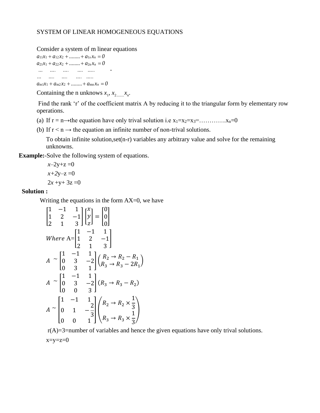#### SYSTEM OF LINEAR HOMOGENEOUS EQUATIONS

Consider a system of m linear equations

 $a_{11}x_1 + a_{12}x_2 + \ldots + a_{1x}x_n = 0$  $a_{21}x_1 + a_{22}x_2 + \ldots + a_{2n}x_n = 0$ *… …. …. …. ….. - … …. …. …. …..*  $a_{m1}x_1 + a_{m2}x_2 + \ldots + a_{mn}x_n = 0$ 

Containing the n unknows  $x_1, x_2, \ldots, x_n$ .

Find the rank 'r' of the coefficient matrix A by reducing it to the triangular form by elementary row operations.

- (a) If  $r = n \rightarrow$  the equation have only trival solution i.e  $x_1 = x_2 = x_3 = \dots = x_n = 0$
- (b) If  $r < n \rightarrow$  the equation an infinite number of non-trival solutions.

To obtain infinite solution,set(n-r) variables any arbitrary value and solve for the remaining unknowns.

**Example:**-Solve the following system of equations.

$$
x-2y+z=0
$$

$$
x+2y-z=0
$$

$$
2x + y+3z=0
$$

#### **Solution :**

Writing the equations in the form  $AX=0$ , we have

$$
\begin{bmatrix} 1 & -1 & 1 \ 1 & 2 & -1 \ 2 & 1 & 3 \ \end{bmatrix} \begin{bmatrix} x \ y \ z \end{bmatrix} = \begin{bmatrix} 0 \ 0 \ 0 \end{bmatrix}
$$
  
\nWhere A=
$$
\begin{bmatrix} 1 & -1 & 1 \ 1 & 2 & -1 \ 2 & 1 & 3 \ \end{bmatrix}
$$
  
\n
$$
A \sim \begin{bmatrix} 1 & -1 & 1 \ 0 & 3 & -2 \ 0 & 3 & 1 \ \end{bmatrix} \begin{bmatrix} R_2 \rightarrow R_2 - R_1 \ R_3 \rightarrow R_3 - 2R_1 \end{bmatrix}
$$
  
\n
$$
A \sim \begin{bmatrix} 1 & -1 & 1 \ 0 & 3 & -2 \ 0 & 0 & 3 \ \end{bmatrix} (R_3 \rightarrow R_3 - R_2)
$$
  
\n
$$
A \sim \begin{bmatrix} 1 & -1 & 1 \ 0 & 1 & -\frac{2}{3} \ 0 & 0 & 1 \ \end{bmatrix} \begin{bmatrix} R_2 \rightarrow R_2 \times \frac{1}{3} \ R_3 \rightarrow R_3 \times \frac{1}{3} \end{bmatrix}
$$

 $r(A)=3$ =number of variables and hence the given equations have only trival solutions.  $x=y=z=0$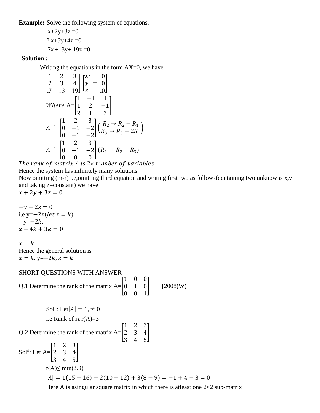**Example:**-Solve the following system of equations.

$$
x+2y+3z = 0
$$
  
2 x+3y+4z = 0  
7x+13y+19z = 0

#### **Solution :**

Writing the equations in the form  $AX=0$ , we have

$$
\begin{bmatrix} 1 & 2 & 3 \ 2 & 3 & 4 \ 7 & 13 & 19 \end{bmatrix} \begin{bmatrix} x \ y \ z \end{bmatrix} = \begin{bmatrix} 0 \ 0 \ 0 \end{bmatrix}
$$
  
\nWhere A=
$$
\begin{bmatrix} 1 & -1 & 1 \ 1 & 2 & -1 \ 2 & 1 & 3 \end{bmatrix}
$$
  
\nA
$$
\begin{bmatrix} 1 & 2 & 3 \ 0 & -1 & -2 \ 0 & -1 & -2 \end{bmatrix} \begin{bmatrix} R_2 \rightarrow R_2 - R_1 \ R_3 \rightarrow R_3 - 2R_1 \end{bmatrix}
$$
  
\nA
$$
\begin{bmatrix} 1 & 2 & 3 \ 0 & -1 & -2 \ 0 & 0 & 0 \end{bmatrix} (R_2 \rightarrow R_2 - R_3)
$$

The rank of matrix  $A$  is 2< number of variables

Hence the system has infinitely many solutions.

Now omitting (m-r) i.e,omitting third equation and writing first two as follows(containing two unknowns x,y and taking z=constant) we have

 $x + 2y + 3z = 0$ 

 $-v - 2z = 0$ i.e y= $-2z(\text{let } z = k)$  $y=-2k$ ,  $x - 4k + 3k = 0$ 

 $x=k$ Hence the general solution is  $x = k$ , y=−2 $k$ , z =  $k$ 

SHORT QUESTIONS WITH ANSWER

Q.1 Determine the rank of the matrix  $A=$ 1 0 0 0 1 0 0 0 1  $[2008(W)]$ Sol<sup>n</sup>: Let $|A| = 1, \neq 0$ i.e Rank of A  $r(A)=3$ Q.2 Determine the rank of the matrix  $A=$ 1 2 3 2 3 4 3 4 5 ]  $Sol<sup>n</sup>: Let A=$ 1 2 3  $2 \quad 3 \quad 4$  $4 \, 5$  $r(A) \leq min(3,3)$  $|A| = 1(15 - 16) - 2(10 - 12) + 3(8 - 9) = -1 + 4 - 3 = 0$ 

Here A is asingular square matrix in which there is at least one  $2\times 2$  sub-matrix